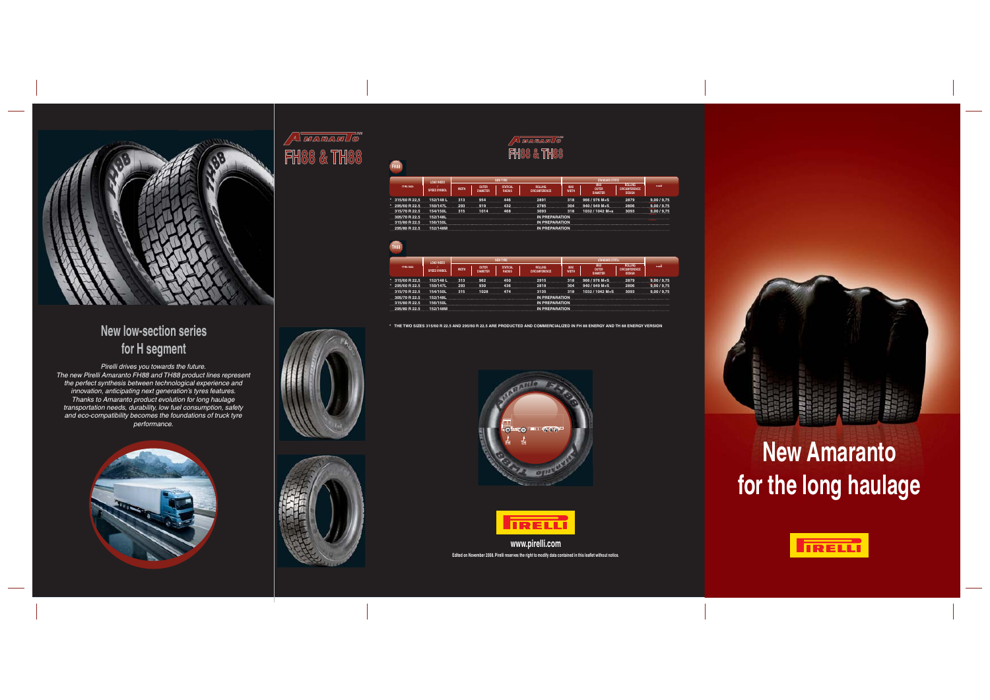

## **New low-section series for H segment**

*Pirelli drives you towards the future. The new Pirelli Amaranto FH88 and TH88 product lines represent*  the perfect synthesis between technological experience and<br>innovation, anticipating next generation's tyres features.<br>Thanks to Amaranto product evolution for long haulage<br>transportation needs, durability, low fuel consump *and eco-compatibility becomes the foundations of truck tyre performance.*





## Amaramis" **FH88 & TH88**

| TYRE SIZE       | LOAD INDEX<br>SPEED SYMBOL | <b>NEW TYRE</b> |                                 |                                  |                                                              |                     |                                        |                                                  |             |
|-----------------|----------------------------|-----------------|---------------------------------|----------------------------------|--------------------------------------------------------------|---------------------|----------------------------------------|--------------------------------------------------|-------------|
|                 |                            | <b>WIDTH</b>    | <b>OUTER</b><br><b>DIAMETER</b> | <b>STATICAL</b><br><b>RADIUS</b> | <b>ROLLING</b><br><b>CIRCUMFERENCE</b>                       | MAX<br><b>WIDTH</b> | MAX<br><b>OUTER</b><br><b>DIAMETER</b> | ROLLING<br><b>CIRCUMFERENCE</b><br><b>DESIGN</b> | <b>RIMS</b> |
|                 |                            |                 |                                 |                                  | * 315/60 R 22.5 152/148 L 313 954 446 2891 318 966 / 976 M+S |                     |                                        | 2879                                             | 9.00 / 9.75 |
| * 295/60 R 22.5 | 150/147L                   | 293             | 919                             |                                  | 432 2785                                                     |                     | 304 940/949 M+S 2806                   |                                                  | 9,00/9,75   |
| 315/70 R 22.5   | 154/150L.315               |                 |                                 |                                  | 1014 468 3093 318 1032 / 1042 M+s                            |                     |                                        | 3093                                             | 9,00/9,75   |
| 305/70 R 22.5   |                            |                 |                                 |                                  |                                                              |                     |                                        |                                                  |             |
| 315/80 R 22.5   |                            |                 |                                 |                                  |                                                              |                     |                                        |                                                  |             |
| 295/80 R 22.5   |                            |                 |                                 |                                  |                                                              |                     |                                        |                                                  |             |
|                 |                            |                 |                                 |                                  |                                                              |                     |                                        |                                                  |             |

| LOAD INDEX                       |              | <b>NEW TYRE</b>                 |                                  |                                 |                     | STANDARD ETRTO                         |                                                  |             |  |
|----------------------------------|--------------|---------------------------------|----------------------------------|---------------------------------|---------------------|----------------------------------------|--------------------------------------------------|-------------|--|
| TYRE SIZE<br>SPEED SYMBOL        | <b>WIDTH</b> | <b>OUTER</b><br><b>DIAMETER</b> | <b>STATICAL</b><br><b>RADIUS</b> | ROLLING<br><b>CIRCUMFERENCE</b> | MAX<br><b>WIDTH</b> | MAX<br><b>OUTER</b><br><b>DIAMETER</b> | ROLLING<br><b>CIRCUMFERENCE</b><br><b>DESIGN</b> | <b>RIMS</b> |  |
| 152/148L<br>315/60 R 22.5        | 313          |                                 |                                  | 962 450 2915 318 966/976 M+S    |                     |                                        | 2879                                             | 9,00/9,75   |  |
| * 295/60 R 22.5 150/147L 293 930 |              |                                 |                                  |                                 |                     |                                        |                                                  |             |  |
|                                  |              |                                 |                                  |                                 |                     |                                        |                                                  |             |  |
|                                  |              |                                 |                                  |                                 |                     |                                        |                                                  |             |  |
|                                  |              |                                 |                                  |                                 |                     |                                        |                                                  |             |  |
| 295/80 R 22.5<br>152/148M        |              |                                 |                                  | IN PREPARATION                  |                     |                                        |                                                  |             |  |

**\* THE TWO SIZES 315/60 R 22.5 AND 295/60 R 22.5 ARE PRODUCTED AND COMMERCIALIZED IN FH 88 ENERGY AND TH 88 ENERGY VERSION**







## **New Amaranto for the long haulage**